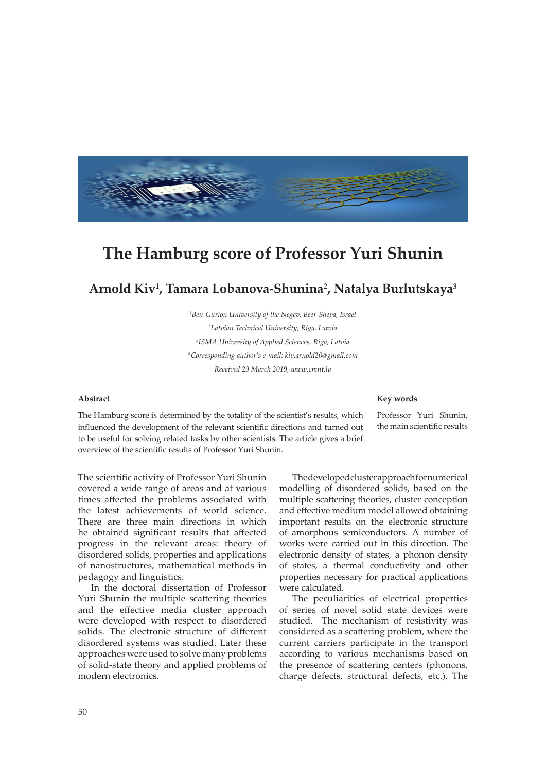

# **The Hamburg score of Professor Yuri Shunin**

## **Arnold Kiv1 , Tamara Lobanova-Shunina2 , Natalya Burlutskaya3**

*1 Ben-Gurion University of the Negev, Beer-Sheva, Israel 2 Latvian Technical University, Riga, Latvia 3 ISMA University of Applied Sciences, Riga, Latvia \*Corresponding author's e-mail: kiv.arnold20@gmail.com Received 29 March 2019, www.cmnt.lv*

#### **Abstract**

### **Key words**

The Hamburg score is determined by the totality of the scientist's results, which influenced the development of the relevant scientific directions and turned out to be useful for solving related tasks by other scientists. The article gives a brief overview of the scientific results of Professor Yuri Shunin.

Professor Yuri Shunin, the main scientific results

The scientific activity of Professor Yuri Shunin covered a wide range of areas and at various times affected the problems associated with the latest achievements of world science. There are three main directions in which he obtained significant results that affected progress in the relevant areas: theory of disordered solids, properties and applications of nanostructures, mathematical methods in pedagogy and linguistics.

In the doctoral dissertation of Professor Yuri Shunin the multiple scattering theories and the effective media cluster approach were developed with respect to disordered solids. The electronic structure of different disordered systems was studied. Later these approaches were used to solve many problems of solid-state theory and applied problems of modern electronics.

The developed cluster approach for numerical modelling of disordered solids, based on the multiple scattering theories, cluster conception and effective medium model allowed obtaining important results on the electronic structure of amorphous semiconductors. A number of works were carried out in this direction. The electronic density of states, a phonon density of states, a thermal conductivity and other properties necessary for practical applications were calculated.

The peculiarities of electrical properties of series of novel solid state devices were studied. The mechanism of resistivity was considered as a scattering problem, where the current carriers participate in the transport according to various mechanisms based on the presence of scattering centers (phonons, charge defects, structural defects, etc.). The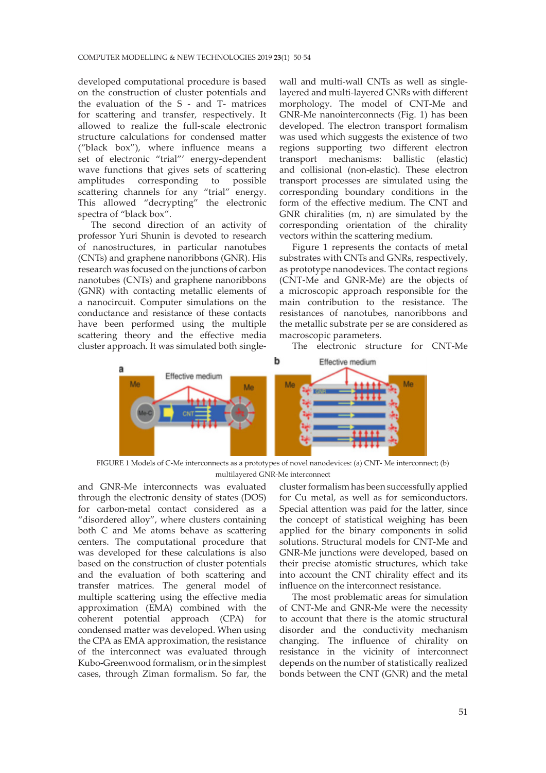developed computational procedure is based on the construction of cluster potentials and the evaluation of the S - and T- matrices for scattering and transfer, respectively. It allowed to realize the full-scale electronic structure calculations for condensed matter ("black box"), where influence means a set of electronic "trial"' energy-dependent wave functions that gives sets of scattering<br>amplitudes corresponding to possible amplitudes corresponding to scattering channels for any "trial" energy. This allowed "decrypting" the electronic spectra of "black box".

The second direction of an activity of professor Yuri Shunin is devoted to research of nanostructures, in particular nanotubes (CNTs) and graphene nanoribbons (GNR). His research was focused on the junctions of carbon nanotubes (CNTs) and graphene nanoribbons (GNR) with contacting metallic elements of a nanocircuit. Computer simulations on the conductance and resistance of these contacts have been performed using the multiple scattering theory and the effective media cluster approach. It was simulated both single-

wall and multi-wall CNTs as well as singlelayered and multi-layered GNRs with different morphology. The model of CNT-Me and GNR-Me nanointerconnects (Fig. 1) has been developed. The electron transport formalism was used which suggests the existence of two regions supporting two different electron transport mechanisms: ballistic (elastic) and collisional (non-elastic). These electron transport processes are simulated using the corresponding boundary conditions in the form of the effective medium. The CNT and GNR chiralities (m, n) are simulated by the corresponding orientation of the chirality vectors within the scattering medium.

Figure 1 represents the contacts of metal substrates with CNTs and GNRs, respectively, as prototype nanodevices. The contact regions (CNT-Me and GNR-Me) are the objects of a microscopic approach responsible for the main contribution to the resistance. The resistances of nanotubes, nanoribbons and the metallic substrate per se are considered as macroscopic parameters.

The electronic structure for CNT-Me



FIGURE 1 Models of C-Me interconnects as a prototypes of novel nanodevices: (a) CNT- Me interconnect; (b) multilayered GNR-Me interconnect

and GNR-Me interconnects was evaluated through the electronic density of states (DOS) for carbon-metal contact considered as a "disordered alloy", where clusters containing both C and Me atoms behave as scattering centers. The computational procedure that was developed for these calculations is also based on the construction of cluster potentials and the evaluation of both scattering and transfer matrices. The general model of multiple scattering using the effective media approximation (EMA) combined with the coherent potential approach (CPA) for condensed matter was developed. When using the CPA as EMA approximation, the resistance of the interconnect was evaluated through Kubo-Greenwood formalism, or in the simplest cases, through Ziman formalism. So far, the

cluster formalism has been successfully applied for Cu metal, as well as for semiconductors. Special attention was paid for the latter, since the concept of statistical weighing has been applied for the binary components in solid solutions. Structural models for CNT-Me and GNR-Me junctions were developed, based on their precise atomistic structures, which take into account the CNT chirality effect and its influence on the interconnect resistance.

The most problematic areas for simulation of CNT-Me and GNR-Me were the necessity to account that there is the atomic structural disorder and the conductivity mechanism changing. The influence of chirality on resistance in the vicinity of interconnect depends on the number of statistically realized bonds between the CNT (GNR) and the metal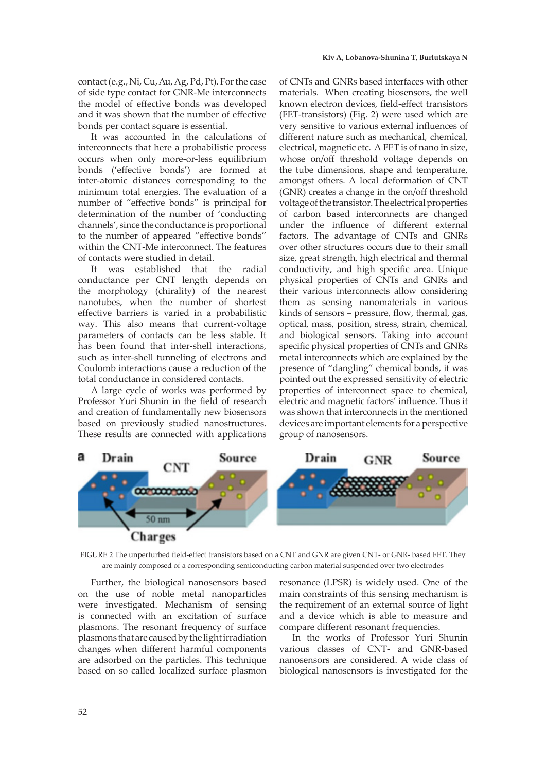contact (e.g., Ni, Cu, Au, Ag, Pd, Pt). For the case of side type contact for GNR-Me interconnects the model of effective bonds was developed and it was shown that the number of effective bonds per contact square is essential.

It was accounted in the calculations of interconnects that here a probabilistic process occurs when only more-or-less equilibrium bonds ('effective bonds') are formed at inter-atomic distances corresponding to the minimum total energies. The evaluation of a number of "effective bonds" is principal for determination of the number of 'conducting channels', since the conductance is proportional to the number of appeared "effective bonds" within the CNT-Me interconnect. The features of contacts were studied in detail.

It was established that the radial conductance per CNT length depends on the morphology (chirality) of the nearest nanotubes, when the number of shortest effective barriers is varied in a probabilistic way. This also means that current-voltage parameters of contacts can be less stable. It has been found that inter-shell interactions, such as inter-shell tunneling of electrons and Coulomb interactions cause a reduction of the total conductance in considered contacts.

A large cycle of works was performed by Professor Yuri Shunin in the field of research and creation of fundamentally new biosensors based on previously studied nanostructures. These results are connected with applications of CNTs and GNRs based interfaces with other materials. When creating biosensors, the well known electron devices, field-effect transistors (FET-transistors) (Fig. 2) were used which are very sensitive to various external influences of different nature such as mechanical, chemical, electrical, magnetic etc. A FET is of nano in size, whose on/off threshold voltage depends on the tube dimensions, shape and temperature, amongst others. A local deformation of CNT (GNR) creates a change in the on/off threshold voltage of the transistor. The electrical properties of carbon based interconnects are changed under the influence of different external factors. The advantage of CNTs and GNRs over other structures occurs due to their small size, great strength, high electrical and thermal conductivity, and high specific area. Unique physical properties of CNTs and GNRs and their various interconnects allow considering them as sensing nanomaterials in various kinds of sensors – pressure, flow, thermal, gas, optical, mass, position, stress, strain, chemical, and biological sensors. Taking into account specific physical properties of CNTs and GNRs metal interconnects which are explained by the presence of "dangling" chemical bonds, it was pointed out the expressed sensitivity of electric properties of interconnect space to chemical, electric and magnetic factors' influence. Thus it was shown that interconnects in the mentioned devices are important elements for a perspective group of nanosensors.



FIGURE 2 The unperturbed field-effect transistors based on a CNT and GNR are given CNT- or GNR- based FET. They are mainly composed of a corresponding semiconducting carbon material suspended over two electrodes

Further, the biological nanosensors based on the use of noble metal nanoparticles were investigated. Mechanism of sensing is connected with an excitation of surface plasmons. The resonant frequency of surface plasmons that are caused by the light irradiation changes when different harmful components are adsorbed on the particles. This technique based on so called localized surface plasmon

resonance (LPSR) is widely used. One of the main constraints of this sensing mechanism is the requirement of an external source of light and a device which is able to measure and compare different resonant frequencies.

In the works of Professor Yuri Shunin various classes of CNT- and GNR-based nanosensors are considered. A wide class of biological nanosensors is investigated for the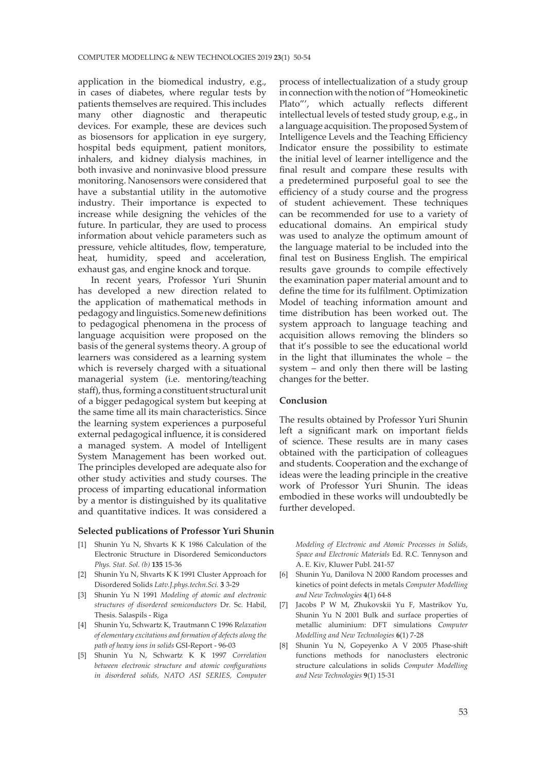application in the biomedical industry, e.g., in cases of diabetes, where regular tests by patients themselves are required. This includes many other diagnostic and therapeutic devices. For example, these are devices such as biosensors for application in eye surgery, hospital beds equipment, patient monitors, inhalers, and kidney dialysis machines, in both invasive and noninvasive blood pressure monitoring. Nanosensors were considered that have a substantial utility in the automotive industry. Their importance is expected to increase while designing the vehicles of the future. In particular, they are used to process information about vehicle parameters such as pressure, vehicle altitudes, flow, temperature, heat, humidity, speed and acceleration, exhaust gas, and engine knock and torque.

In recent years, Professor Yuri Shunin has developed a new direction related to the application of mathematical methods in pedagogy and linguistics. Some new definitions to pedagogical phenomena in the process of language acquisition were proposed on the basis of the general systems theory. A group of learners was considered as a learning system which is reversely charged with a situational managerial system (i.e. mentoring/teaching staff), thus, forming a constituent structural unit of a bigger pedagogical system but keeping at the same time all its main characteristics. Since the learning system experiences a purposeful external pedagogical influence, it is considered a managed system. A model of Intelligent System Management has been worked out. The principles developed are adequate also for other study activities and study courses. The process of imparting educational information by a mentor is distinguished by its qualitative and quantitative indices. It was considered a

#### **Selected publications of Professor Yuri Shunin**

- [1] Shunin Yu N, Shvarts K K 1986 Calculation of the Electronic Structure in Disordered Semiconductors *Phys. Stat. Sol. (b)* **135** 15-36
- [2] Shunin Yu N, Shvarts K K 1991 Cluster Approach for Disordered Solids *Latv.J.phys.techn.Sci.* **3** 3-29
- [3] Shunin Yu N 1991 *Modeling of atomic and electronic structures of disordered semiconductors* Dr. Sc. Habil, Thesis. Salaspils - Riga
- [4] Shunin Yu, Schwartz K, Trautmann C 1996 R*elaxation of elementary excitations and formation of defects along the path of heavy ions in solids* GSI-Report - 96-03
- [5] Shunin Yu N, Schwartz K K 1997 *Correlation between electronic structure and atomic configurations in disordered solids, NATO ASI SERIES, Computer*

process of intellectualization of a study group in connection with the notion of "Homeokinetic Plato"', which actually reflects different intellectual levels of tested study group, e.g., in a language acquisition. The proposed System of Intelligence Levels and the Teaching Efficiency Indicator ensure the possibility to estimate the initial level of learner intelligence and the final result and compare these results with a predetermined purposeful goal to see the efficiency of a study course and the progress of student achievement. These techniques can be recommended for use to a variety of educational domains. An empirical study was used to analyze the optimum amount of the language material to be included into the final test on Business English. The empirical results gave grounds to compile effectively the examination paper material amount and to define the time for its fulfilment. Optimization Model of teaching information amount and time distribution has been worked out. The system approach to language teaching and acquisition allows removing the blinders so that it's possible to see the educational world in the light that illuminates the whole – the system – and only then there will be lasting changes for the better.

#### **Conclusion**

The results obtained by Professor Yuri Shunin left a significant mark on important fields of science. These results are in many cases obtained with the participation of colleagues and students. Cooperation and the exchange of ideas were the leading principle in the creative work of Professor Yuri Shunin. The ideas embodied in these works will undoubtedly be further developed.

*Modeling of Electronic and Atomic Processes in Solids, Space and Electronic Materials* Ed. R.C. Tennyson and A. E. Kiv, Kluwer Publ. 241-57

- [6] Shunin Yu, Danilova N 2000 Random processes and kinetics of point defects in metals *Computer Modelling and New Technologies* **4**(1) 64-8
- [7] Jacobs P W M, Zhukovskii Yu F, Mastrikov Yu, Shunin Yu N 2001 Bulk and surface properties of metallic aluminium: DFT simulations *Computer Modelling and New Technologies* **6**(1) 7-28
- [8] Shunin Yu N, Gopeyenko A V 2005 Phase-shift functions methods for nanoclusters electronic structure calculations in solids *Computer Modelling and New Technologies* **9**(1) 15-31